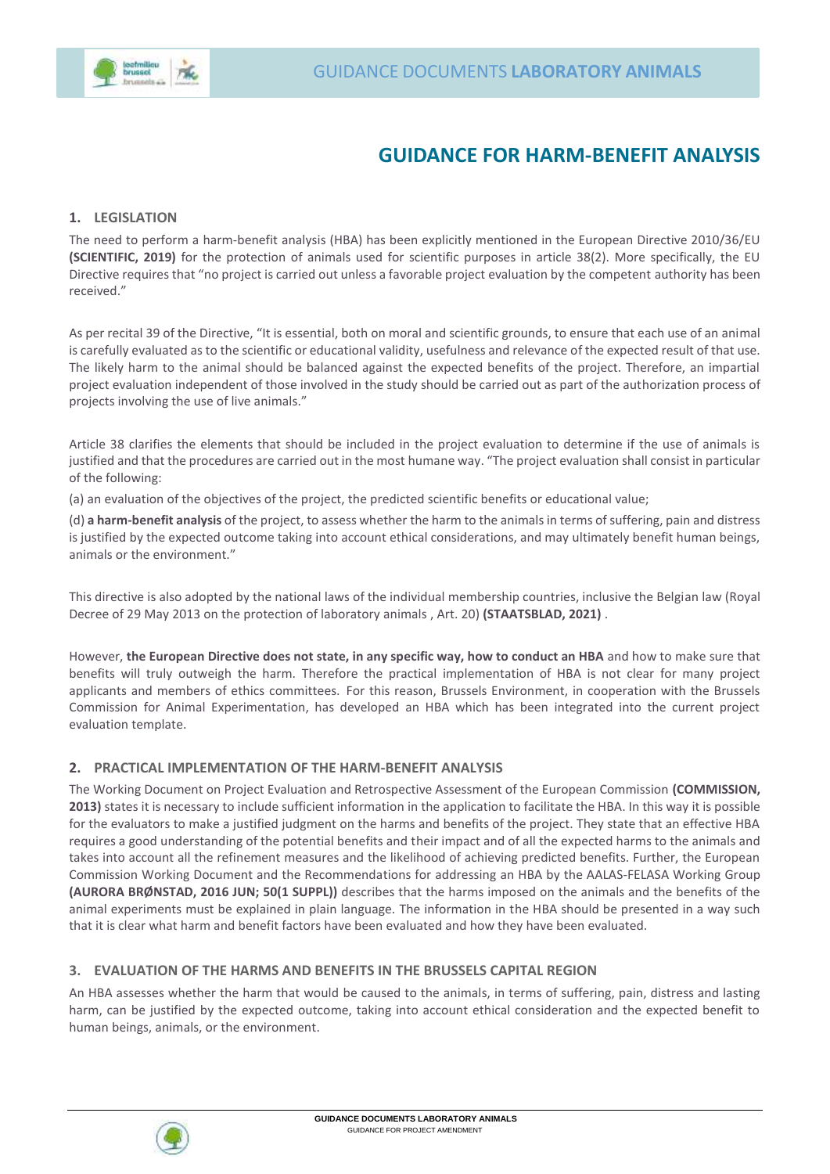

# **GUIDANCE FOR HARM-BENEFIT ANALYSIS**

### **1. LEGISLATION**

The need to perform a harm-benefit analysis (HBA) has been explicitly mentioned in the European Directive 2010/36/EU **(SCIENTIFIC, 2019)** for the protection of animals used for scientific purposes in article 38(2). More specifically, the EU Directive requires that "no project is carried out unless a favorable project evaluation by the competent authority has been received."

As per recital 39 of the Directive, "It is essential, both on moral and scientific grounds, to ensure that each use of an animal is carefully evaluated as to the scientific or educational validity, usefulness and relevance of the expected result of that use. The likely harm to the animal should be balanced against the expected benefits of the project. Therefore, an impartial project evaluation independent of those involved in the study should be carried out as part of the authorization process of projects involving the use of live animals."

Article 38 clarifies the elements that should be included in the project evaluation to determine if the use of animals is justified and that the procedures are carried out in the most humane way. "The project evaluation shall consist in particular of the following:

(a) an evaluation of the objectives of the project, the predicted scientific benefits or educational value;

(d) **a harm-benefit analysis** of the project, to assess whether the harm to the animals in terms of suffering, pain and distress is justified by the expected outcome taking into account ethical considerations, and may ultimately benefit human beings, animals or the environment."

This directive is also adopted by the national laws of the individual membership countries, inclusive the Belgian law (Royal Decree of 29 May 2013 on the protection of laboratory animals , Art. 20) **(STAATSBLAD, 2021)** .

However, **the European Directive does not state, in any specific way, how to conduct an HBA** and how to make sure that benefits will truly outweigh the harm. Therefore the practical implementation of HBA is not clear for many project applicants and members of ethics committees. For this reason, Brussels Environment, in cooperation with the Brussels Commission for Animal Experimentation, has developed an HBA which has been integrated into the current project evaluation template.

#### **2. PRACTICAL IMPLEMENTATION OF THE HARM-BENEFIT ANALYSIS**

The Working Document on Project Evaluation and Retrospective Assessment of the European Commission **(COMMISSION, 2013)** states it is necessary to include sufficient information in the application to facilitate the HBA. In this way it is possible for the evaluators to make a justified judgment on the harms and benefits of the project. They state that an effective HBA requires a good understanding of the potential benefits and their impact and of all the expected harms to the animals and takes into account all the refinement measures and the likelihood of achieving predicted benefits. Further, the European Commission Working Document and the Recommendations for addressing an HBA by the AALAS-FELASA Working Group **(AURORA BRØNSTAD, 2016 JUN; 50(1 SUPPL))** describes that the harms imposed on the animals and the benefits of the animal experiments must be explained in plain language. The information in the HBA should be presented in a way such that it is clear what harm and benefit factors have been evaluated and how they have been evaluated.

### **3. EVALUATION OF THE HARMS AND BENEFITS IN THE BRUSSELS CAPITAL REGION**

An HBA assesses whether the harm that would be caused to the animals, in terms of suffering, pain, distress and lasting harm, can be justified by the expected outcome, taking into account ethical consideration and the expected benefit to human beings, animals, or the environment.

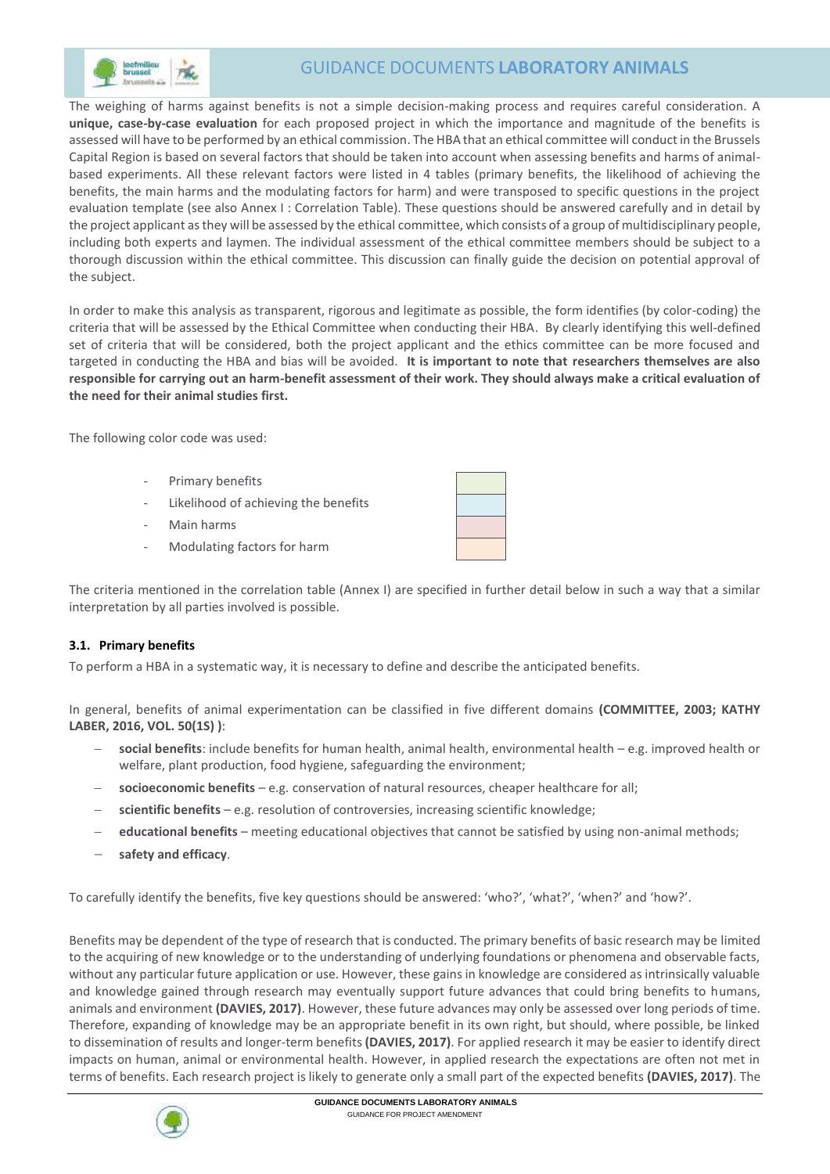

## GUIDANCE DOCUMENTS **LABORATORY ANIMALS**

 The weighing of harms against benefits is not a simple decision-making process and requires careful consideration. A **unique, case-by-case evaluation** for each proposed project in which the importance and magnitude of the benefits is assessed will have to be performed by an ethical commission. The HBA that an ethical committee will conduct in the Brussels Capital Region is based on several factors that should be taken into account when assessing benefits and harms of animalbased experiments. All these relevant factors were listed in 4 tables (primary benefits, the likelihood of achieving the benefits, the main harms and the modulating factors for harm) and were transposed to specific questions in the project evaluation template (see also Annex I : Correlation Table). These questions should be answered carefully and in detail by the project applicant as they will be assessed by the ethical committee, which consists of a group of multidisciplinary people, including both experts and laymen. The individual assessment of the ethical committee members should be subject to a thorough discussion within the ethical committee. This discussion can finally guide the decision on potential approval of the subject.

In order to make this analysis as transparent, rigorous and legitimate as possible, the form identifies (by color-coding) the criteria that will be assessed by the Ethical Committee when conducting their HBA. By clearly identifying this well-defined set of criteria that will be considered, both the project applicant and the ethics committee can be more focused and targeted in conducting the HBA and bias will be avoided. **It is important to note that researchers themselves are also responsible for carrying out an harm-benefit assessment of their work. They should always make a critical evaluation of the need for their animal studies first.** 

The following color code was used:

- Primary benefits
- Likelihood of achieving the benefits
- Main harms
- Modulating factors for harm

The criteria mentioned in the correlation table (Annex I) are specified in further detail below in such a way that a similar interpretation by all parties involved is possible.

#### **3.1. Primary benefits**

To perform a HBA in a systematic way, it is necessary to define and describe the anticipated benefits.

In general, benefits of animal experimentation can be classified in five different domains **(COMMITTEE, 2003; KATHY LABER, 2016, VOL. 50(1S) )**:

- **social benefits**: include benefits for human health, animal health, environmental health e.g. improved health or welfare, plant production, food hygiene, safeguarding the environment;
- **socioeconomic benefits** e.g. conservation of natural resources, cheaper healthcare for all;
- **scientific benefits** e.g. resolution of controversies, increasing scientific knowledge;
- **educational benefits** meeting educational objectives that cannot be satisfied by using non-animal methods;
- **safety and efficacy**.

To carefully identify the benefits, five key questions should be answered: 'who?', 'what?', 'when?' and 'how?'.

Benefits may be dependent of the type of research that is conducted. The primary benefits of basic research may be limited to the acquiring of new knowledge or to the understanding of underlying foundations or phenomena and observable facts, without any particular future application or use. However, these gains in knowledge are considered as intrinsically valuable and knowledge gained through research may eventually support future advances that could bring benefits to humans, animals and environment **(DAVIES, 2017)**. However, these future advances may only be assessed over long periods of time. Therefore, expanding of knowledge may be an appropriate benefit in its own right, but should, where possible, be linked to dissemination of results and longer-term benefits **(DAVIES, 2017)**. For applied research it may be easier to identify direct impacts on human, animal or environmental health. However, in applied research the expectations are often not met in terms of benefits. Each research project is likely to generate only a small part of the expected benefits **(DAVIES, 2017)**. The

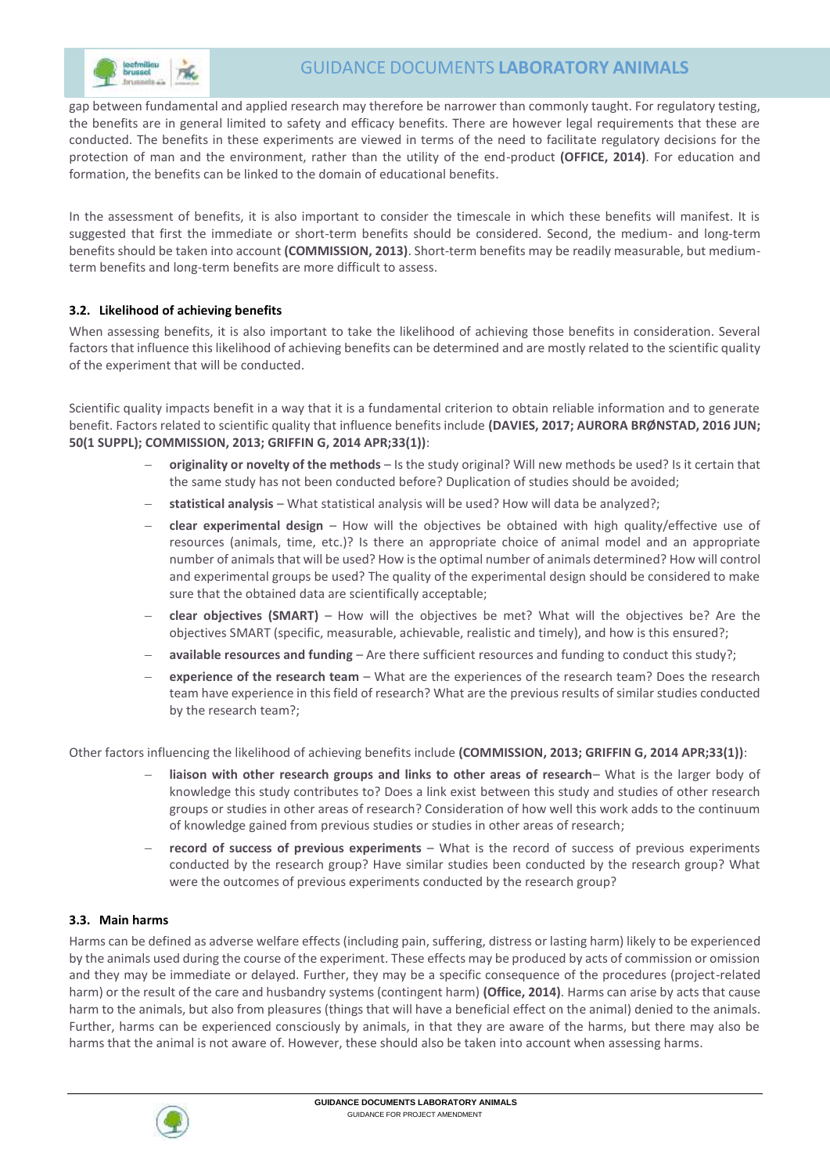

 gap between fundamental and applied research may therefore be narrower than commonly taught. For regulatory testing, the benefits are in general limited to safety and efficacy benefits. There are however legal requirements that these are conducted. The benefits in these experiments are viewed in terms of the need to facilitate regulatory decisions for the protection of man and the environment, rather than the utility of the end-product **(OFFICE, 2014)**. For education and formation, the benefits can be linked to the domain of educational benefits.

In the assessment of benefits, it is also important to consider the timescale in which these benefits will manifest. It is suggested that first the immediate or short-term benefits should be considered. Second, the medium- and long-term benefits should be taken into account **(COMMISSION, 2013)**. Short-term benefits may be readily measurable, but mediumterm benefits and long-term benefits are more difficult to assess.

### **3.2. Likelihood of achieving benefits**

When assessing benefits, it is also important to take the likelihood of achieving those benefits in consideration. Several factors that influence this likelihood of achieving benefits can be determined and are mostly related to the scientific quality of the experiment that will be conducted.

Scientific quality impacts benefit in a way that it is a fundamental criterion to obtain reliable information and to generate benefit. Factors related to scientific quality that influence benefits include **(DAVIES, 2017; AURORA BRØNSTAD, 2016 JUN; 50(1 SUPPL); COMMISSION, 2013; GRIFFIN G, 2014 APR;33(1))**:

- **originality or novelty of the methods** Is the study original? Will new methods be used? Is it certain that the same study has not been conducted before? Duplication of studies should be avoided;
- **statistical analysis** What statistical analysis will be used? How will data be analyzed?;
- **clear experimental design** How will the objectives be obtained with high quality/effective use of resources (animals, time, etc.)? Is there an appropriate choice of animal model and an appropriate number of animals that will be used? How is the optimal number of animals determined? How will control and experimental groups be used? The quality of the experimental design should be considered to make sure that the obtained data are scientifically acceptable;
- **clear objectives (SMART)** How will the objectives be met? What will the objectives be? Are the objectives SMART (specific, measurable, achievable, realistic and timely), and how is this ensured?;
- **available resources and funding** Are there sufficient resources and funding to conduct this study?;
- **experience of the research team** What are the experiences of the research team? Does the research team have experience in this field of research? What are the previous results of similar studies conducted by the research team?;

Other factors influencing the likelihood of achieving benefits include **(COMMISSION, 2013; GRIFFIN G, 2014 APR;33(1))**:

- **liaison with other research groups and links to other areas of research** What is the larger body of knowledge this study contributes to? Does a link exist between this study and studies of other research groups or studies in other areas of research? Consideration of how well this work adds to the continuum of knowledge gained from previous studies or studies in other areas of research;
- **record of success of previous experiments** What is the record of success of previous experiments conducted by the research group? Have similar studies been conducted by the research group? What were the outcomes of previous experiments conducted by the research group?

### **3.3. Main harms**

Harms can be defined as adverse welfare effects (including pain, suffering, distress or lasting harm) likely to be experienced by the animals used during the course of the experiment. These effects may be produced by acts of commission or omission and they may be immediate or delayed. Further, they may be a specific consequence of the procedures (project-related harm) or the result of the care and husbandry systems (contingent harm) **(Office, 2014)**. Harms can arise by acts that cause harm to the animals, but also from pleasures (things that will have a beneficial effect on the animal) denied to the animals. Further, harms can be experienced consciously by animals, in that they are aware of the harms, but there may also be harms that the animal is not aware of. However, these should also be taken into account when assessing harms.

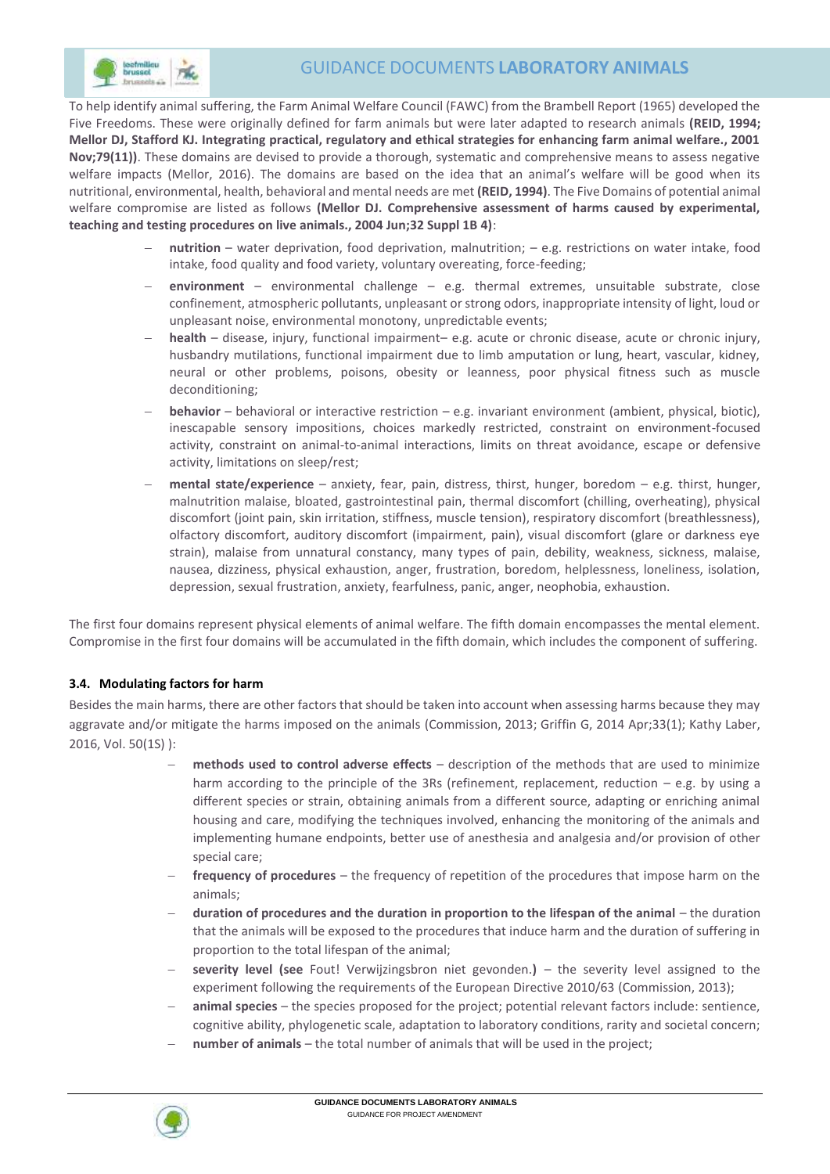

 To help identify animal suffering, the Farm Animal Welfare Council (FAWC) from the Brambell Report (1965) developed the Five Freedoms. These were originally defined for farm animals but were later adapted to research animals **(REID, 1994; Mellor DJ, Stafford KJ. Integrating practical, regulatory and ethical strategies for enhancing farm animal welfare., 2001 Nov;79(11))**. These domains are devised to provide a thorough, systematic and comprehensive means to assess negative welfare impacts (Mellor, 2016). The domains are based on the idea that an animal's welfare will be good when its nutritional, environmental, health, behavioral and mental needs are met **(REID, 1994)**. The Five Domains of potential animal welfare compromise are listed as follows **(Mellor DJ. Comprehensive assessment of harms caused by experimental, teaching and testing procedures on live animals., 2004 Jun;32 Suppl 1B 4)**:

- **nutrition** water deprivation, food deprivation, malnutrition; e.g. restrictions on water intake, food intake, food quality and food variety, voluntary overeating, force-feeding;
- **environment**  environmental challenge e.g. thermal extremes, unsuitable substrate, close confinement, atmospheric pollutants, unpleasant or strong odors, inappropriate intensity of light, loud or unpleasant noise, environmental monotony, unpredictable events;
- **health** disease, injury, functional impairment– e.g. acute or chronic disease, acute or chronic injury, husbandry mutilations, functional impairment due to limb amputation or lung, heart, vascular, kidney, neural or other problems, poisons, obesity or leanness, poor physical fitness such as muscle deconditioning;
- **behavior** behavioral or interactive restriction e.g. invariant environment (ambient, physical, biotic), inescapable sensory impositions, choices markedly restricted, constraint on environment-focused activity, constraint on animal-to-animal interactions, limits on threat avoidance, escape or defensive activity, limitations on sleep/rest;
- **mental state/experience** anxiety, fear, pain, distress, thirst, hunger, boredom e.g. thirst, hunger, malnutrition malaise, bloated, gastrointestinal pain, thermal discomfort (chilling, overheating), physical discomfort (joint pain, skin irritation, stiffness, muscle tension), respiratory discomfort (breathlessness), olfactory discomfort, auditory discomfort (impairment, pain), visual discomfort (glare or darkness eye strain), malaise from unnatural constancy, many types of pain, debility, weakness, sickness, malaise, nausea, dizziness, physical exhaustion, anger, frustration, boredom, helplessness, loneliness, isolation, depression, sexual frustration, anxiety, fearfulness, panic, anger, neophobia, exhaustion.

The first four domains represent physical elements of animal welfare. The fifth domain encompasses the mental element. Compromise in the first four domains will be accumulated in the fifth domain, which includes the component of suffering.

### **3.4. Modulating factors for harm**

Besides the main harms, there are other factors that should be taken into account when assessing harms because they may aggravate and/or mitigate the harms imposed on the animals (Commission, 2013; Griffin G, 2014 Apr;33(1); Kathy Laber, 2016, Vol. 50(1S) ):

- **methods used to control adverse effects** description of the methods that are used to minimize harm according to the principle of the 3Rs (refinement, replacement, reduction – e.g. by using a different species or strain, obtaining animals from a different source, adapting or enriching animal housing and care, modifying the techniques involved, enhancing the monitoring of the animals and implementing humane endpoints, better use of anesthesia and analgesia and/or provision of other special care;
- **frequency of procedures** the frequency of repetition of the procedures that impose harm on the animals;
- **duration of procedures and the duration in proportion to the lifespan of the animal** the duration that the animals will be exposed to the procedures that induce harm and the duration of suffering in proportion to the total lifespan of the animal;
- **severity level (see** Fout! Verwijzingsbron niet gevonden.**)** the severity level assigned to the experiment following the requirements of the European Directive 2010/63 (Commission, 2013);
- **animal species** the species proposed for the project; potential relevant factors include: sentience, cognitive ability, phylogenetic scale, adaptation to laboratory conditions, rarity and societal concern;
- **number of animals** the total number of animals that will be used in the project;

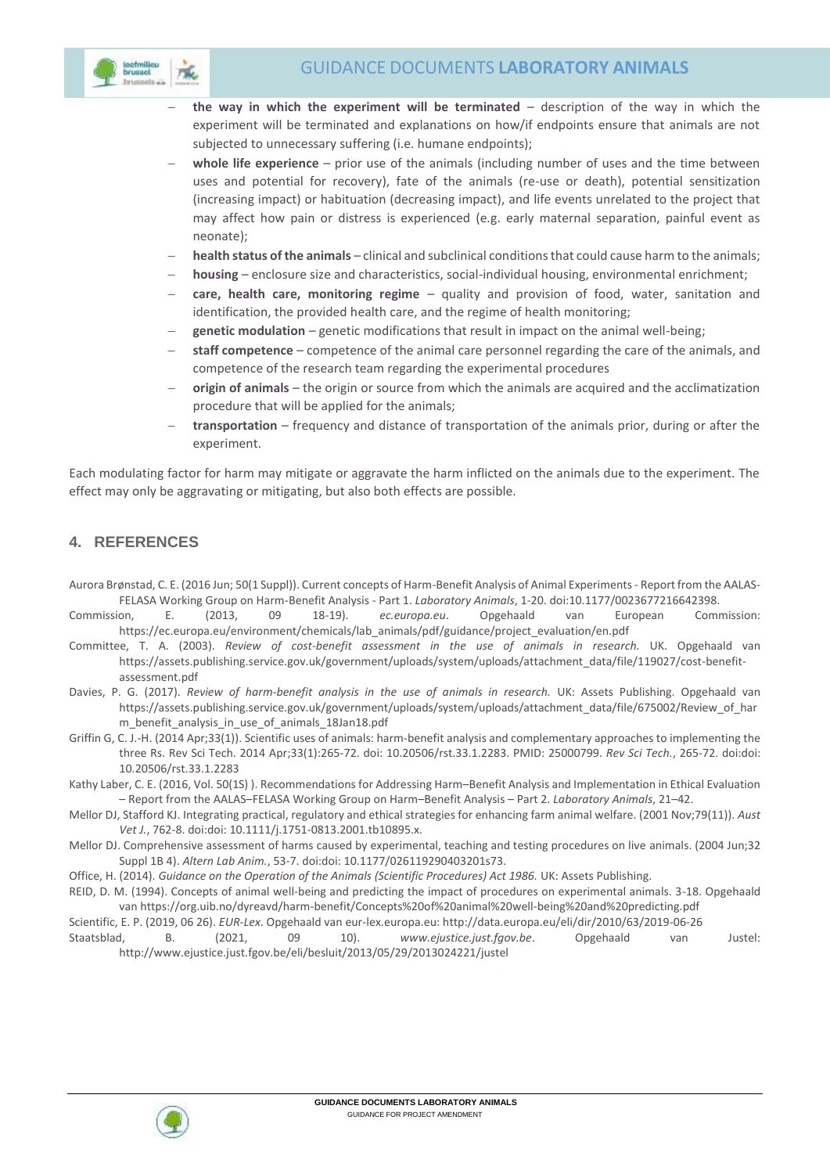

- **the way in which the experiment will be terminated** description of the way in which the experiment will be terminated and explanations on how/if endpoints ensure that animals are not subjected to unnecessary suffering (i.e. humane endpoints);
- **whole life experience** prior use of the animals (including number of uses and the time between uses and potential for recovery), fate of the animals (re-use or death), potential sensitization (increasing impact) or habituation (decreasing impact), and life events unrelated to the project that may affect how pain or distress is experienced (e.g. early maternal separation, painful event as neonate);
- **health status of the animals** clinical and subclinical conditions that could cause harm to the animals;
- **housing** enclosure size and characteristics, social-individual housing, environmental enrichment;
- **care, health care, monitoring regime** quality and provision of food, water, sanitation and identification, the provided health care, and the regime of health monitoring;
- **genetic modulation** genetic modifications that result in impact on the animal well-being;
- **staff competence**  competence of the animal care personnel regarding the care of the animals, and competence of the research team regarding the experimental procedures
- **origin of animals** the origin or source from which the animals are acquired and the acclimatization procedure that will be applied for the animals;
- **transportation** frequency and distance of transportation of the animals prior, during or after the experiment.

Each modulating factor for harm may mitigate or aggravate the harm inflicted on the animals due to the experiment. The effect may only be aggravating or mitigating, but also both effects are possible.

### **4. REFERENCES**

- Aurora Brønstad, C. E. (2016 Jun; 50(1 Suppl)). Current concepts of Harm-Benefit Analysis of Animal Experiments Report from the AALAS-FELASA Working Group on Harm-Benefit Analysis - Part 1. *Laboratory Animals*, 1-20. doi:10.1177/0023677216642398.
- Commission, E. (2013, 09 18-19). *ec.europa.eu*. Opgehaald van European Commission: https://ec.europa.eu/environment/chemicals/lab\_animals/pdf/guidance/project\_evaluation/en.pdf
- Committee, T. A. (2003). *Review of cost-benefit assessment in the use of animals in research.* UK. Opgehaald van https://assets.publishing.service.gov.uk/government/uploads/system/uploads/attachment\_data/file/119027/cost-benefitassessment.pdf
- Davies, P. G. (2017). *Review of harm-benefit analysis in the use of animals in research.* UK: Assets Publishing. Opgehaald van https://assets.publishing.service.gov.uk/government/uploads/system/uploads/attachment\_data/file/675002/Review\_of\_har m benefit analysis in use of animals 18Jan18.pdf
- Griffin G, C. J.-H. (2014 Apr;33(1)). Scientific uses of animals: harm-benefit analysis and complementary approaches to implementing the three Rs. Rev Sci Tech. 2014 Apr;33(1):265-72. doi: 10.20506/rst.33.1.2283. PMID: 25000799. *Rev Sci Tech.*, 265-72. doi:doi: 10.20506/rst.33.1.2283
- Kathy Laber, C. E. (2016, Vol. 50(1S) ). Recommendations for Addressing Harm–Benefit Analysis and Implementation in Ethical Evaluation – Report from the AALAS–FELASA Working Group on Harm–Benefit Analysis – Part 2. *Laboratory Animals*, 21–42.
- Mellor DJ, Stafford KJ. Integrating practical, regulatory and ethical strategies for enhancing farm animal welfare. (2001 Nov;79(11)). *Aust Vet J.*, 762-8. doi:doi: 10.1111/j.1751-0813.2001.tb10895.x.
- Mellor DJ. Comprehensive assessment of harms caused by experimental, teaching and testing procedures on live animals. (2004 Jun;32 Suppl 1B 4). *Altern Lab Anim.*, 53-7. doi:doi: 10.1177/026119290403201s73.
- Office, H. (2014). *Guidance on the Operation of the Animals (Scientific Procedures) Act 1986.* UK: Assets Publishing.
- REID, D. M. (1994). Concepts of animal well-being and predicting the impact of procedures on experimental animals. 3-18. Opgehaald van https://org.uib.no/dyreavd/harm-benefit/Concepts%20of%20animal%20well-being%20and%20predicting.pdf

Scientific, E. P. (2019, 06 26). *EUR-Lex*. Opgehaald van eur-lex.europa.eu: http://data.europa.eu/eli/dir/2010/63/2019-06-26 Staatsblad, B. (2021, 09 10). *www.ejustice.just.fgov.be*. Opgehaald van Justel: http://www.ejustice.just.fgov.be/eli/besluit/2013/05/29/2013024221/justel

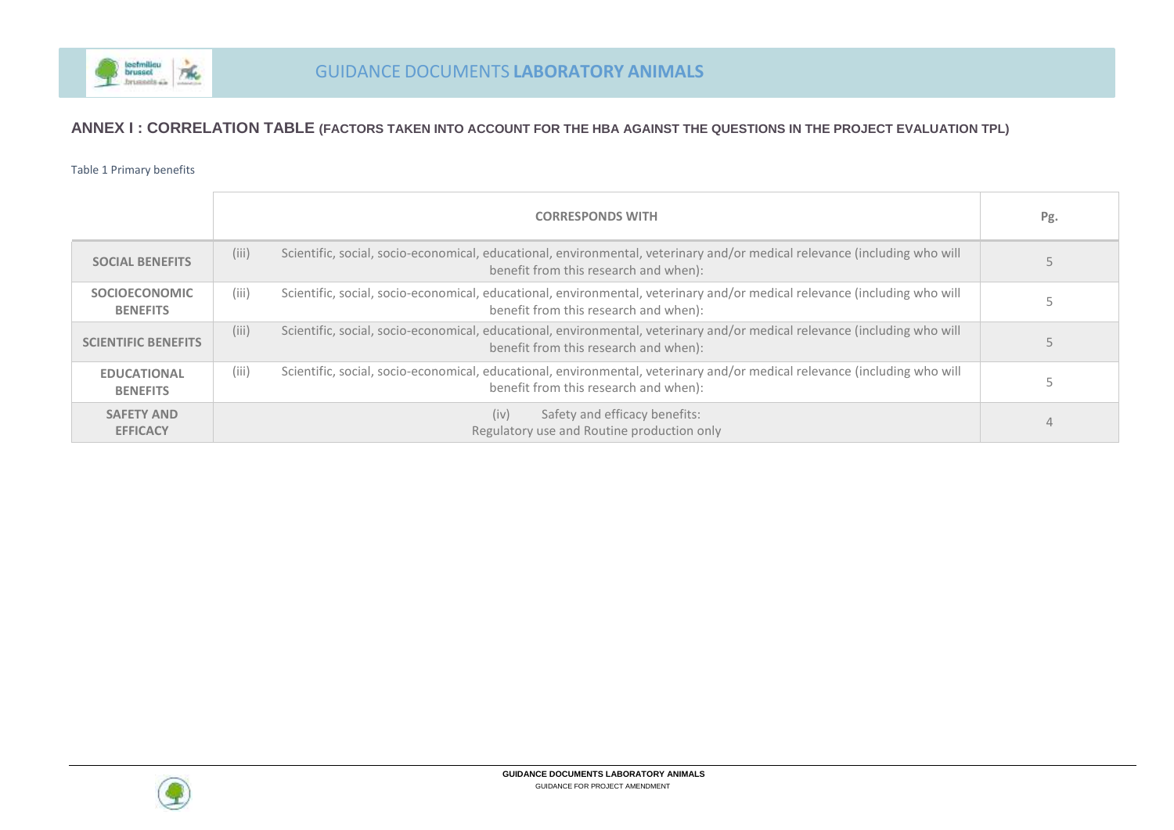

### **ANNEX I : CORRELATION TABLE (FACTORS TAKEN INTO ACCOUNT FOR THE HBA AGAINST THE QUESTIONS IN THE PROJECT EVALUATION TPL)**

#### Table 1 Primary benefits

|                                         | <b>CORRESPONDS WITH</b>                                                                                                                                                     | Pg. |
|-----------------------------------------|-----------------------------------------------------------------------------------------------------------------------------------------------------------------------------|-----|
| <b>SOCIAL BENEFITS</b>                  | (iii)<br>Scientific, social, socio-economical, educational, environmental, veterinary and/or medical relevance (including who will<br>benefit from this research and when): |     |
| <b>SOCIOECONOMIC</b><br><b>BENEFITS</b> | (iii)<br>Scientific, social, socio-economical, educational, environmental, veterinary and/or medical relevance (including who will<br>benefit from this research and when): |     |
| <b>SCIENTIFIC BENEFITS</b>              | (iii)<br>Scientific, social, socio-economical, educational, environmental, veterinary and/or medical relevance (including who will<br>benefit from this research and when): |     |
| <b>EDUCATIONAL</b><br><b>BENEFITS</b>   | (iii)<br>Scientific, social, socio-economical, educational, environmental, veterinary and/or medical relevance (including who will<br>benefit from this research and when): |     |
| <b>SAFETY AND</b><br><b>EFFICACY</b>    | (iv)<br>Safety and efficacy benefits:<br>Regulatory use and Routine production only                                                                                         | 4   |

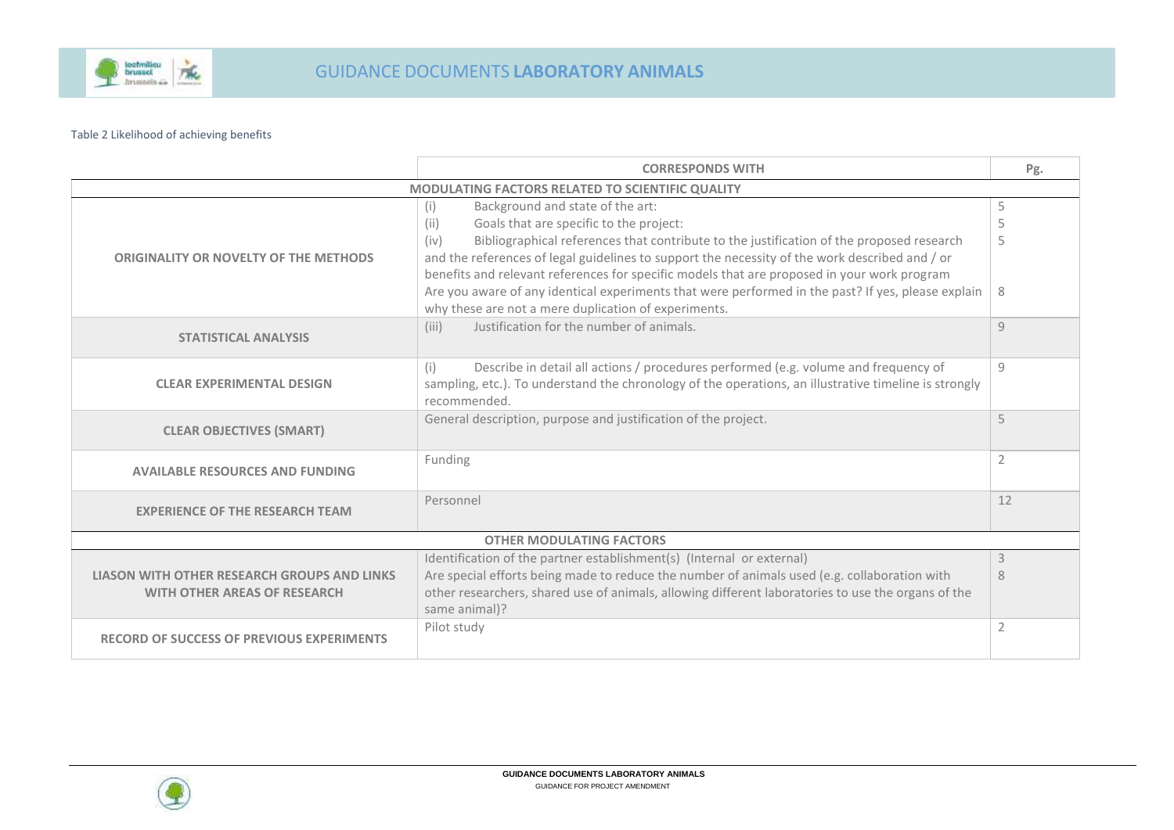

#### Table 2 Likelihood of achieving benefits

|                                                                                    | <b>CORRESPONDS WITH</b>                                                                                                                                                                                                                                                                                                                                                                                                                                                                                                                                       | Pg.              |  |  |
|------------------------------------------------------------------------------------|---------------------------------------------------------------------------------------------------------------------------------------------------------------------------------------------------------------------------------------------------------------------------------------------------------------------------------------------------------------------------------------------------------------------------------------------------------------------------------------------------------------------------------------------------------------|------------------|--|--|
| MODULATING FACTORS RELATED TO SCIENTIFIC QUALITY                                   |                                                                                                                                                                                                                                                                                                                                                                                                                                                                                                                                                               |                  |  |  |
| <b>ORIGINALITY OR NOVELTY OF THE METHODS</b>                                       | Background and state of the art:<br>(i)<br>Goals that are specific to the project:<br>(ii)<br>Bibliographical references that contribute to the justification of the proposed research<br>(iv)<br>and the references of legal guidelines to support the necessity of the work described and / or<br>benefits and relevant references for specific models that are proposed in your work program<br>Are you aware of any identical experiments that were performed in the past? If yes, please explain<br>why these are not a mere duplication of experiments. | 5<br>5<br>5<br>8 |  |  |
| <b>STATISTICAL ANALYSIS</b>                                                        | Justification for the number of animals.<br>(iii)                                                                                                                                                                                                                                                                                                                                                                                                                                                                                                             | $\overline{q}$   |  |  |
| <b>CLEAR EXPERIMENTAL DESIGN</b>                                                   | (i)<br>Describe in detail all actions / procedures performed (e.g. volume and frequency of<br>sampling, etc.). To understand the chronology of the operations, an illustrative timeline is strongly<br>recommended.                                                                                                                                                                                                                                                                                                                                           | 9                |  |  |
| <b>CLEAR OBJECTIVES (SMART)</b>                                                    | General description, purpose and justification of the project.                                                                                                                                                                                                                                                                                                                                                                                                                                                                                                | 5                |  |  |
| <b>AVAILABLE RESOURCES AND FUNDING</b>                                             | Funding                                                                                                                                                                                                                                                                                                                                                                                                                                                                                                                                                       | 2                |  |  |
| <b>EXPERIENCE OF THE RESEARCH TEAM</b>                                             | Personnel                                                                                                                                                                                                                                                                                                                                                                                                                                                                                                                                                     | 12               |  |  |
|                                                                                    | <b>OTHER MODULATING FACTORS</b>                                                                                                                                                                                                                                                                                                                                                                                                                                                                                                                               |                  |  |  |
| LIASON WITH OTHER RESEARCH GROUPS AND LINKS<br><b>WITH OTHER AREAS OF RESEARCH</b> | Identification of the partner establishment(s) (Internal or external)<br>Are special efforts being made to reduce the number of animals used (e.g. collaboration with<br>other researchers, shared use of animals, allowing different laboratories to use the organs of the<br>same animal)?                                                                                                                                                                                                                                                                  | 3<br>8           |  |  |
| <b>RECORD OF SUCCESS OF PREVIOUS EXPERIMENTS</b>                                   | Pilot study                                                                                                                                                                                                                                                                                                                                                                                                                                                                                                                                                   | 2                |  |  |

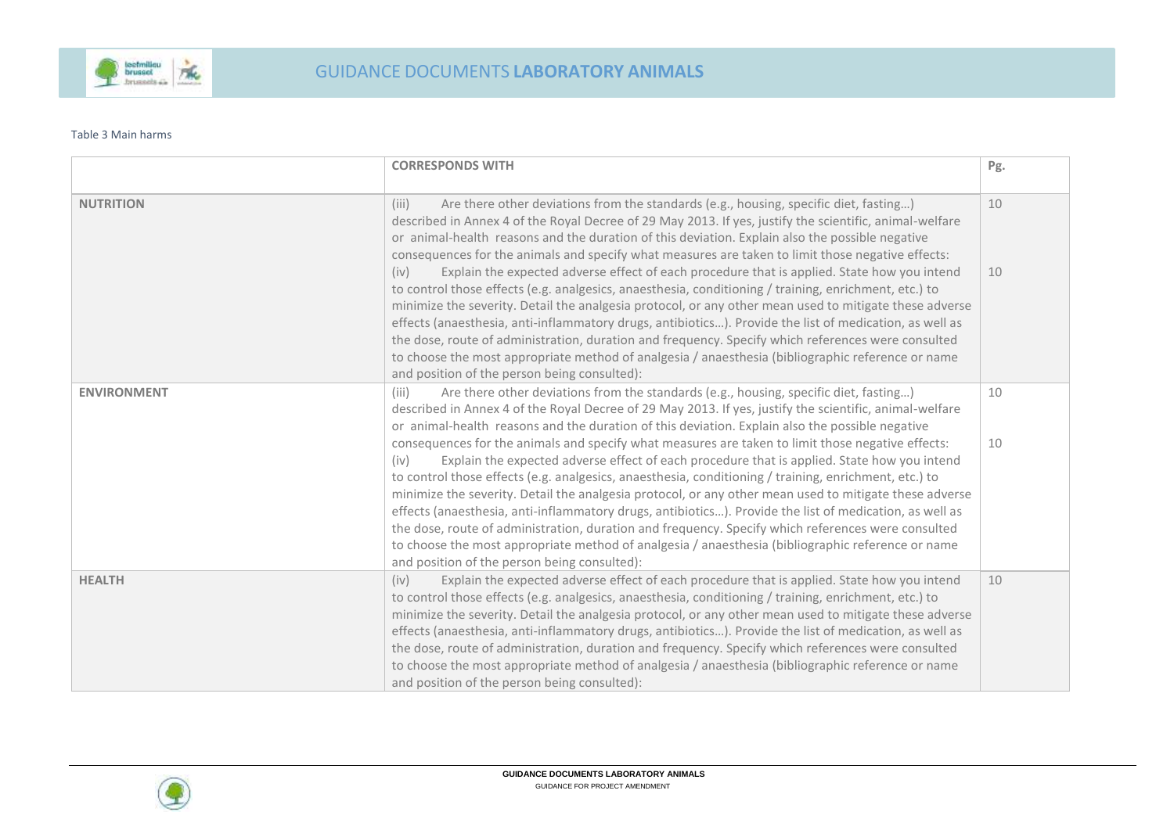

#### Table 3 Main harms

|                    | <b>CORRESPONDS WITH</b>                                                                                                                                                                                                                                                                                                                                                                                                                                                                                                                                                                                                                                                                                                                                                                           | Pg. |
|--------------------|---------------------------------------------------------------------------------------------------------------------------------------------------------------------------------------------------------------------------------------------------------------------------------------------------------------------------------------------------------------------------------------------------------------------------------------------------------------------------------------------------------------------------------------------------------------------------------------------------------------------------------------------------------------------------------------------------------------------------------------------------------------------------------------------------|-----|
|                    |                                                                                                                                                                                                                                                                                                                                                                                                                                                                                                                                                                                                                                                                                                                                                                                                   |     |
| <b>NUTRITION</b>   | (iii)<br>Are there other deviations from the standards (e.g., housing, specific diet, fasting)<br>described in Annex 4 of the Royal Decree of 29 May 2013. If yes, justify the scientific, animal-welfare<br>or animal-health reasons and the duration of this deviation. Explain also the possible negative<br>consequences for the animals and specify what measures are taken to limit those negative effects:                                                                                                                                                                                                                                                                                                                                                                                 | 10  |
|                    | Explain the expected adverse effect of each procedure that is applied. State how you intend<br>(iv)<br>to control those effects (e.g. analgesics, anaesthesia, conditioning / training, enrichment, etc.) to<br>minimize the severity. Detail the analgesia protocol, or any other mean used to mitigate these adverse<br>effects (anaesthesia, anti-inflammatory drugs, antibiotics). Provide the list of medication, as well as<br>the dose, route of administration, duration and frequency. Specify which references were consulted<br>to choose the most appropriate method of analgesia / anaesthesia (bibliographic reference or name<br>and position of the person being consulted):                                                                                                      | 10  |
| <b>ENVIRONMENT</b> | (iii)<br>Are there other deviations from the standards (e.g., housing, specific diet, fasting)<br>described in Annex 4 of the Royal Decree of 29 May 2013. If yes, justify the scientific, animal-welfare<br>or animal-health reasons and the duration of this deviation. Explain also the possible negative                                                                                                                                                                                                                                                                                                                                                                                                                                                                                      | 10  |
|                    | consequences for the animals and specify what measures are taken to limit those negative effects:<br>Explain the expected adverse effect of each procedure that is applied. State how you intend<br>(iv)<br>to control those effects (e.g. analgesics, anaesthesia, conditioning / training, enrichment, etc.) to<br>minimize the severity. Detail the analgesia protocol, or any other mean used to mitigate these adverse<br>effects (anaesthesia, anti-inflammatory drugs, antibiotics). Provide the list of medication, as well as<br>the dose, route of administration, duration and frequency. Specify which references were consulted<br>to choose the most appropriate method of analgesia / anaesthesia (bibliographic reference or name<br>and position of the person being consulted): | 10  |
| <b>HEALTH</b>      | Explain the expected adverse effect of each procedure that is applied. State how you intend<br>(iv)<br>to control those effects (e.g. analgesics, anaesthesia, conditioning / training, enrichment, etc.) to<br>minimize the severity. Detail the analgesia protocol, or any other mean used to mitigate these adverse<br>effects (anaesthesia, anti-inflammatory drugs, antibiotics). Provide the list of medication, as well as<br>the dose, route of administration, duration and frequency. Specify which references were consulted<br>to choose the most appropriate method of analgesia / anaesthesia (bibliographic reference or name<br>and position of the person being consulted):                                                                                                      | 10  |

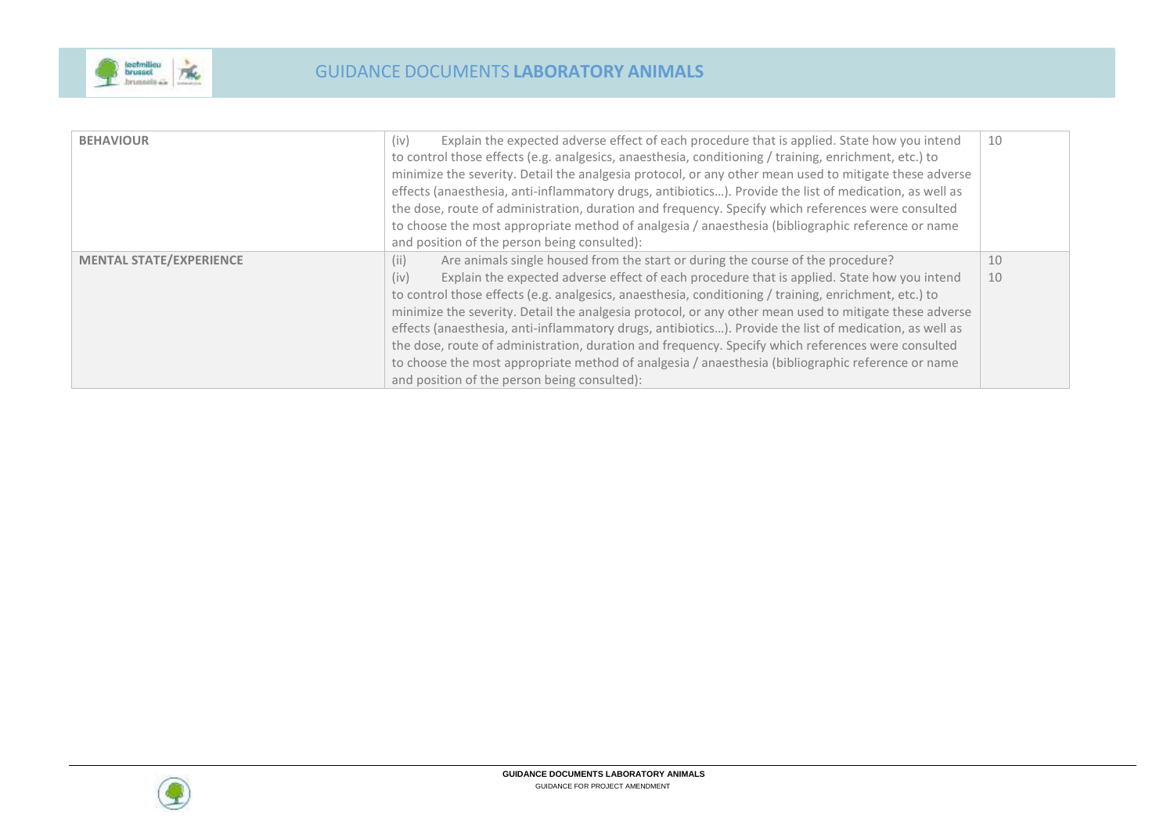

| (iv)<br><b>BEHAVIOUR</b>                                                                       | Explain the expected adverse effect of each procedure that is applied. State how you intend<br>to control those effects (e.g. analgesics, anaesthesia, conditioning / training, enrichment, etc.) to<br>minimize the severity. Detail the analgesia protocol, or any other mean used to mitigate these adverse<br>effects (anaesthesia, anti-inflammatory drugs, antibiotics). Provide the list of medication, as well as                                                                                                                                                                                                                                                                                               | 10       |
|------------------------------------------------------------------------------------------------|-------------------------------------------------------------------------------------------------------------------------------------------------------------------------------------------------------------------------------------------------------------------------------------------------------------------------------------------------------------------------------------------------------------------------------------------------------------------------------------------------------------------------------------------------------------------------------------------------------------------------------------------------------------------------------------------------------------------------|----------|
| and position of the person being consulted):                                                   | the dose, route of administration, duration and frequency. Specify which references were consulted<br>to choose the most appropriate method of analgesia / anaesthesia (bibliographic reference or name                                                                                                                                                                                                                                                                                                                                                                                                                                                                                                                 |          |
| <b>MENTAL STATE/EXPERIENCE</b><br>(ii)<br>(iv)<br>and position of the person being consulted): | Are animals single housed from the start or during the course of the procedure?<br>Explain the expected adverse effect of each procedure that is applied. State how you intend<br>to control those effects (e.g. analgesics, anaesthesia, conditioning / training, enrichment, etc.) to<br>minimize the severity. Detail the analgesia protocol, or any other mean used to mitigate these adverse<br>effects (anaesthesia, anti-inflammatory drugs, antibiotics). Provide the list of medication, as well as<br>the dose, route of administration, duration and frequency. Specify which references were consulted<br>to choose the most appropriate method of analgesia / anaesthesia (bibliographic reference or name | 10<br>10 |

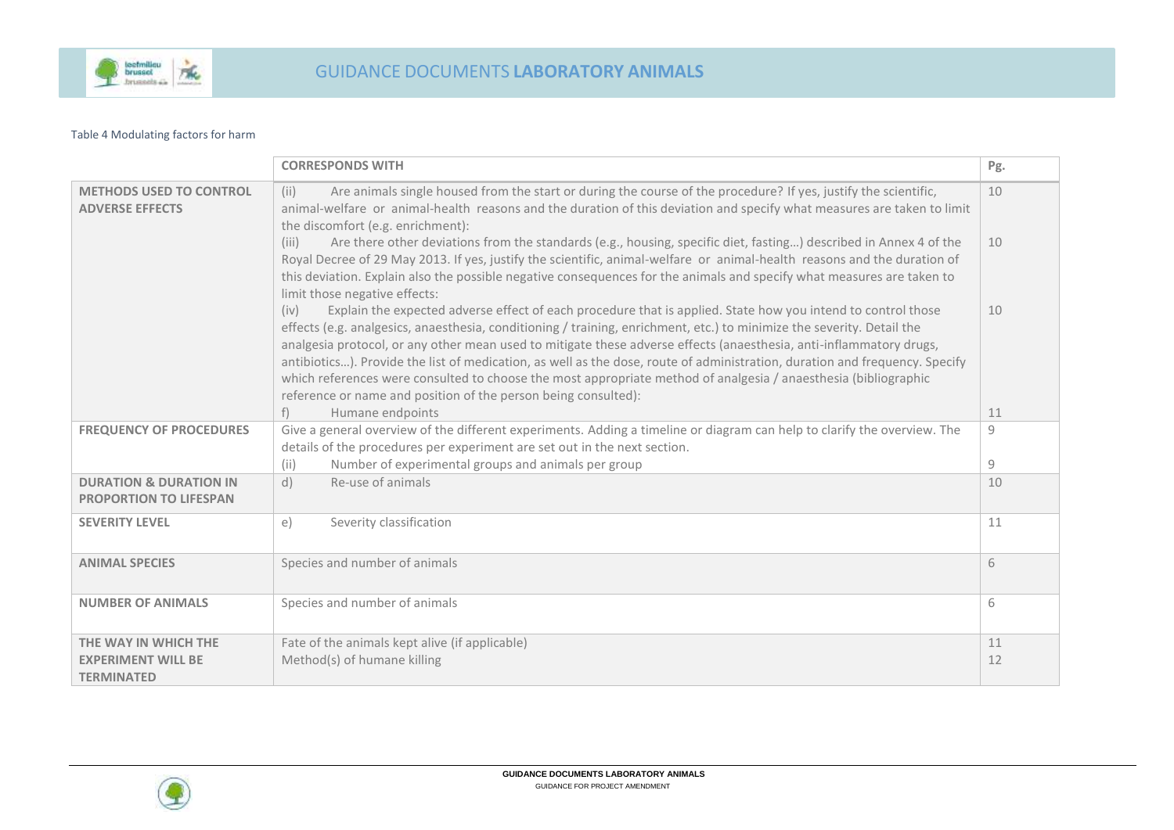

#### Table 4 Modulating factors for harm

|                                                                    | <b>CORRESPONDS WITH</b>                                                                                                                                                                                                                                                                                                                                                                                                                                                                                                                                                                                                                                                                   | Pg. |
|--------------------------------------------------------------------|-------------------------------------------------------------------------------------------------------------------------------------------------------------------------------------------------------------------------------------------------------------------------------------------------------------------------------------------------------------------------------------------------------------------------------------------------------------------------------------------------------------------------------------------------------------------------------------------------------------------------------------------------------------------------------------------|-----|
| <b>METHODS USED TO CONTROL</b><br><b>ADVERSE EFFECTS</b>           | Are animals single housed from the start or during the course of the procedure? If yes, justify the scientific,<br>(ii)<br>animal-welfare or animal-health reasons and the duration of this deviation and specify what measures are taken to limit<br>the discomfort (e.g. enrichment):                                                                                                                                                                                                                                                                                                                                                                                                   | 10  |
|                                                                    | Are there other deviations from the standards (e.g., housing, specific diet, fasting) described in Annex 4 of the<br>(iii)<br>Royal Decree of 29 May 2013. If yes, justify the scientific, animal-welfare or animal-health reasons and the duration of<br>this deviation. Explain also the possible negative consequences for the animals and specify what measures are taken to<br>limit those negative effects:                                                                                                                                                                                                                                                                         | 10  |
|                                                                    | Explain the expected adverse effect of each procedure that is applied. State how you intend to control those<br>(iv)<br>effects (e.g. analgesics, anaesthesia, conditioning / training, enrichment, etc.) to minimize the severity. Detail the<br>analgesia protocol, or any other mean used to mitigate these adverse effects (anaesthesia, anti-inflammatory drugs,<br>antibiotics). Provide the list of medication, as well as the dose, route of administration, duration and frequency. Specify<br>which references were consulted to choose the most appropriate method of analgesia / anaesthesia (bibliographic<br>reference or name and position of the person being consulted): | 10  |
|                                                                    | $f$ )<br>Humane endpoints                                                                                                                                                                                                                                                                                                                                                                                                                                                                                                                                                                                                                                                                 | 11  |
| <b>FREQUENCY OF PROCEDURES</b>                                     | Give a general overview of the different experiments. Adding a timeline or diagram can help to clarify the overview. The                                                                                                                                                                                                                                                                                                                                                                                                                                                                                                                                                                  | 9   |
|                                                                    | details of the procedures per experiment are set out in the next section.                                                                                                                                                                                                                                                                                                                                                                                                                                                                                                                                                                                                                 |     |
|                                                                    | Number of experimental groups and animals per group<br>(ii)                                                                                                                                                                                                                                                                                                                                                                                                                                                                                                                                                                                                                               | 9   |
| <b>DURATION &amp; DURATION IN</b><br><b>PROPORTION TO LIFESPAN</b> | Re-use of animals<br>d)                                                                                                                                                                                                                                                                                                                                                                                                                                                                                                                                                                                                                                                                   | 10  |
| <b>SEVERITY LEVEL</b>                                              | Severity classification<br>e)                                                                                                                                                                                                                                                                                                                                                                                                                                                                                                                                                                                                                                                             | 11  |
| <b>ANIMAL SPECIES</b>                                              | Species and number of animals                                                                                                                                                                                                                                                                                                                                                                                                                                                                                                                                                                                                                                                             | 6   |
| <b>NUMBER OF ANIMALS</b>                                           | Species and number of animals                                                                                                                                                                                                                                                                                                                                                                                                                                                                                                                                                                                                                                                             | 6   |
| THE WAY IN WHICH THE                                               | Fate of the animals kept alive (if applicable)                                                                                                                                                                                                                                                                                                                                                                                                                                                                                                                                                                                                                                            | 11  |
| <b>EXPERIMENT WILL BE</b><br><b>TERMINATED</b>                     | Method(s) of humane killing                                                                                                                                                                                                                                                                                                                                                                                                                                                                                                                                                                                                                                                               | 12  |

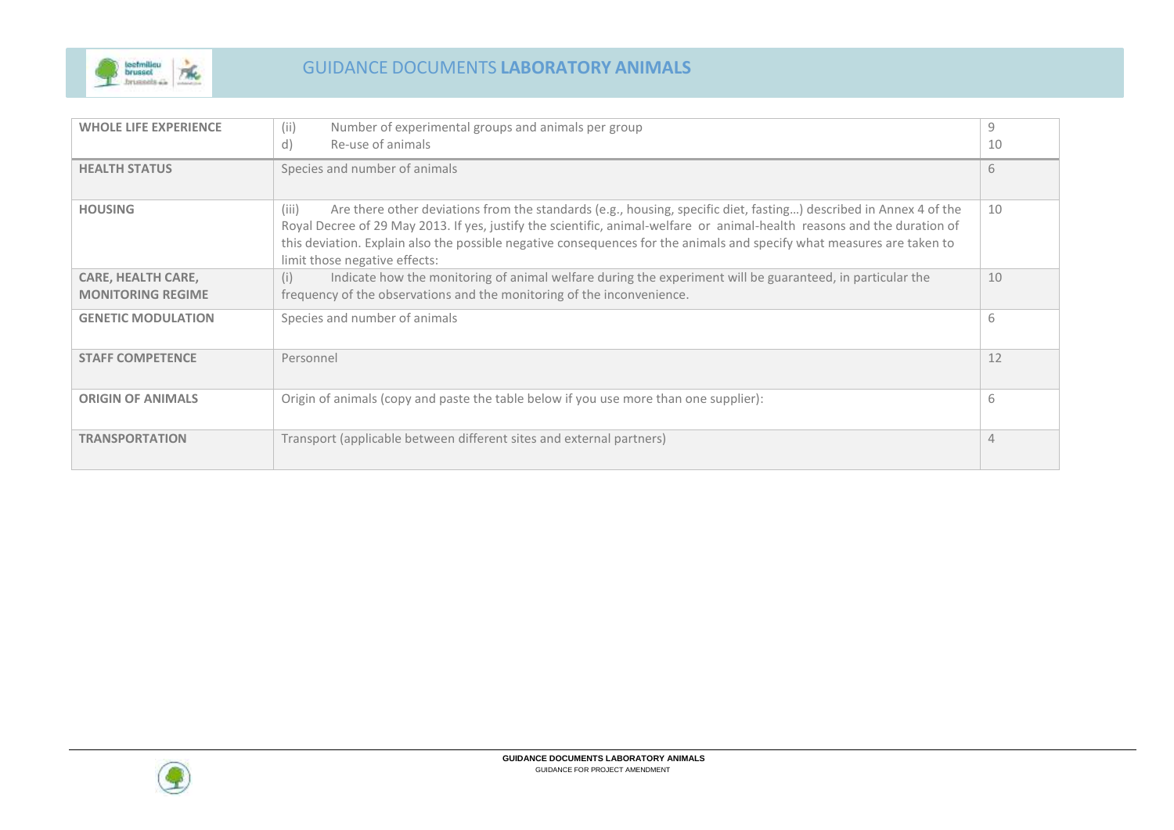

| <b>WHOLE LIFE EXPERIENCE</b>                          | (ii)<br>Number of experimental groups and animals per group                                                                                                                                                                                                                                                                                                                                                       | 9  |
|-------------------------------------------------------|-------------------------------------------------------------------------------------------------------------------------------------------------------------------------------------------------------------------------------------------------------------------------------------------------------------------------------------------------------------------------------------------------------------------|----|
|                                                       | Re-use of animals<br>d)                                                                                                                                                                                                                                                                                                                                                                                           | 10 |
| <b>HEALTH STATUS</b>                                  | Species and number of animals                                                                                                                                                                                                                                                                                                                                                                                     | 6  |
| <b>HOUSING</b>                                        | Are there other deviations from the standards (e.g., housing, specific diet, fasting) described in Annex 4 of the<br>(iii)<br>Royal Decree of 29 May 2013. If yes, justify the scientific, animal-welfare or animal-health reasons and the duration of<br>this deviation. Explain also the possible negative consequences for the animals and specify what measures are taken to<br>limit those negative effects: | 10 |
| <b>CARE, HEALTH CARE,</b><br><b>MONITORING REGIME</b> | Indicate how the monitoring of animal welfare during the experiment will be guaranteed, in particular the<br>(i)<br>frequency of the observations and the monitoring of the inconvenience.                                                                                                                                                                                                                        | 10 |
| <b>GENETIC MODULATION</b>                             | Species and number of animals                                                                                                                                                                                                                                                                                                                                                                                     | 6  |
| <b>STAFF COMPETENCE</b>                               | Personnel                                                                                                                                                                                                                                                                                                                                                                                                         | 12 |
| <b>ORIGIN OF ANIMALS</b>                              | Origin of animals (copy and paste the table below if you use more than one supplier):                                                                                                                                                                                                                                                                                                                             | 6  |
| <b>TRANSPORTATION</b>                                 | Transport (applicable between different sites and external partners)                                                                                                                                                                                                                                                                                                                                              | 4  |